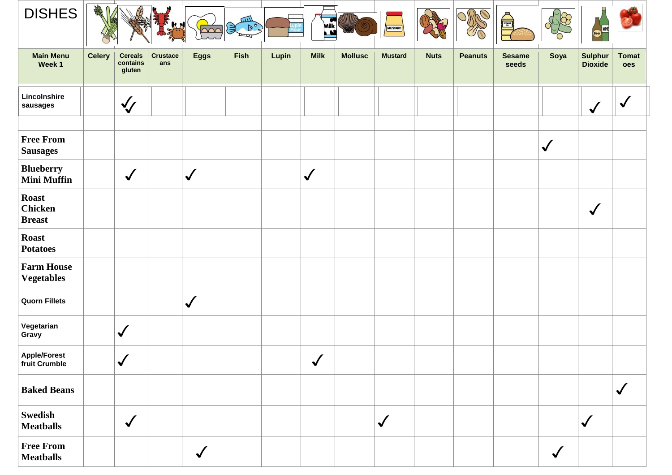| <b>DISHES</b>                                   | <b>CHARL</b>  |                                      |                        | $\overline{\triangle\triangle}$ | E ROS |       | Milk<br>N    |                | MUSTARD                    |             |                | A                      |              |                                  |                     |
|-------------------------------------------------|---------------|--------------------------------------|------------------------|---------------------------------|-------|-------|--------------|----------------|----------------------------|-------------|----------------|------------------------|--------------|----------------------------------|---------------------|
| <b>Main Menu</b><br>Week 1                      | <b>Celery</b> | <b>Cereals</b><br>contains<br>gluten | <b>Crustace</b><br>ans | <b>Eggs</b>                     | Fish  | Lupin | <b>Milk</b>  | <b>Mollusc</b> | <b>Mustard</b>             | <b>Nuts</b> | <b>Peanuts</b> | <b>Sesame</b><br>seeds | Soya         | <b>Sulphur</b><br><b>Dioxide</b> | <b>Tomat</b><br>oes |
| Lincolnshire<br>sausages                        |               | $\sqrt{\sqrt{25}}$                   |                        |                                 |       |       |              |                |                            |             |                |                        |              | $\checkmark$                     | $\checkmark$        |
| <b>Free From</b><br><b>Sausages</b>             |               |                                      |                        |                                 |       |       |              |                |                            |             |                |                        | $\checkmark$ |                                  |                     |
| <b>Blueberry</b><br><b>Mini Muffin</b>          |               | $\sqrt{2}$                           |                        | $\checkmark$                    |       |       | $\checkmark$ |                |                            |             |                |                        |              |                                  |                     |
| <b>Roast</b><br><b>Chicken</b><br><b>Breast</b> |               |                                      |                        |                                 |       |       |              |                |                            |             |                |                        |              | $\checkmark$                     |                     |
| <b>Roast</b><br><b>Potatoes</b>                 |               |                                      |                        |                                 |       |       |              |                |                            |             |                |                        |              |                                  |                     |
| <b>Farm House</b><br><b>Vegetables</b>          |               |                                      |                        |                                 |       |       |              |                |                            |             |                |                        |              |                                  |                     |
| <b>Quorn Fillets</b>                            |               |                                      |                        | $\checkmark$                    |       |       |              |                |                            |             |                |                        |              |                                  |                     |
| Vegetarian<br>Gravy                             |               | $\checkmark$                         |                        |                                 |       |       |              |                |                            |             |                |                        |              |                                  |                     |
| <b>Apple/Forest</b><br>fruit Crumble            |               | $\sqrt{2}$<br>V                      |                        |                                 |       |       | $\sqrt{2}$   |                |                            |             |                |                        |              |                                  |                     |
| <b>Baked Beans</b>                              |               |                                      |                        |                                 |       |       |              |                |                            |             |                |                        |              |                                  | $\checkmark$        |
| <b>Swedish</b><br><b>Meatballs</b>              |               | $\sqrt{2}$                           |                        |                                 |       |       |              |                | $\boldsymbol{\mathcal{N}}$ |             |                |                        |              | $\checkmark$                     |                     |
| <b>Free From</b><br><b>Meatballs</b>            |               |                                      |                        | $\checkmark$                    |       |       |              |                |                            |             |                |                        | $\checkmark$ |                                  |                     |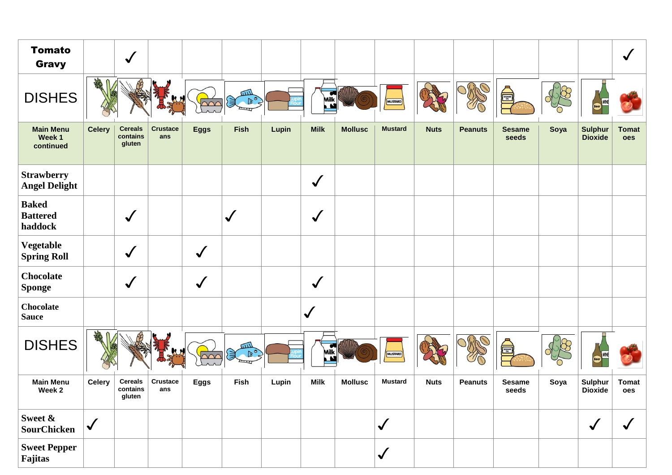| <b>Tomato</b><br><b>Gravy</b>              |               | $\checkmark$                         |                        |              |                           |       |                              |                |                |             |                |                        |      |                                  | $\checkmark$        |
|--------------------------------------------|---------------|--------------------------------------|------------------------|--------------|---------------------------|-------|------------------------------|----------------|----------------|-------------|----------------|------------------------|------|----------------------------------|---------------------|
| <b>DISHES</b>                              | AR            |                                      |                        | $\sim$       | шI<br>B <sup>o</sup><br>含 |       | œ<br>Milk<br>N               |                | MUSTARD        |             |                | <b>All Signal</b>      |      |                                  |                     |
| <b>Main Menu</b><br>Week 1<br>continued    | <b>Celery</b> | <b>Cereals</b><br>contains<br>gluten | <b>Crustace</b><br>ans | <b>Eggs</b>  | <b>Fish</b>               | Lupin | <b>Milk</b>                  | <b>Mollusc</b> | <b>Mustard</b> | <b>Nuts</b> | <b>Peanuts</b> | <b>Sesame</b><br>seeds | Soya | <b>Sulphur</b><br><b>Dioxide</b> | <b>Tomat</b><br>oes |
| <b>Strawberry</b><br><b>Angel Delight</b>  |               |                                      |                        |              |                           |       | $\checkmark$                 |                |                |             |                |                        |      |                                  |                     |
| <b>Baked</b><br><b>Battered</b><br>haddock |               | $\checkmark$                         |                        |              | $\checkmark$              |       |                              |                |                |             |                |                        |      |                                  |                     |
| Vegetable<br><b>Spring Roll</b>            |               | $\checkmark$                         |                        | $\checkmark$ |                           |       |                              |                |                |             |                |                        |      |                                  |                     |
| <b>Chocolate</b><br><b>Sponge</b>          |               | $\checkmark$                         |                        | $\checkmark$ |                           |       | $\checkmark$                 |                |                |             |                |                        |      |                                  |                     |
| <b>Chocolate</b><br><b>Sauce</b>           |               |                                      |                        |              |                           |       | $\checkmark$                 |                |                |             |                |                        |      |                                  |                     |
| <b>DISHES</b>                              |               |                                      |                        |              | шI<br>D <sup>o</sup>      |       | $\overline{\bullet}$<br>Milk |                | MUSTARD        |             |                | SESAME<br>OL           |      |                                  |                     |
| <b>Main Menu</b><br>Week 2                 | <b>Celery</b> | <b>Cereals</b><br>contains<br>gluten | Crustace<br>ans        | <b>Eggs</b>  | Fish                      | Lupin | <b>Milk</b>                  | <b>Mollusc</b> | <b>Mustard</b> | <b>Nuts</b> | <b>Peanuts</b> | <b>Sesame</b><br>seeds | Soya | Sulphur<br><b>Dioxide</b>        | <b>Tomat</b><br>oes |
| Sweet &<br><b>SourChicken</b>              | $\checkmark$  |                                      |                        |              |                           |       |                              |                | $\checkmark$   |             |                |                        |      | $\checkmark$                     | $\checkmark$        |
| <b>Sweet Pepper</b><br>Fajitas             |               |                                      |                        |              |                           |       |                              |                | $\checkmark$   |             |                |                        |      |                                  |                     |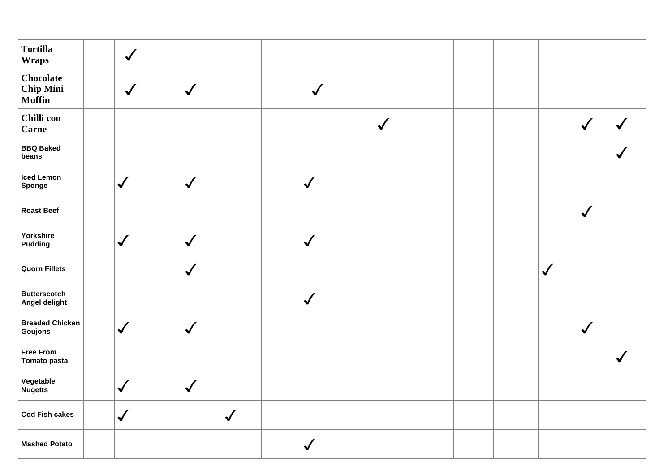| <b>Tortilla</b><br><b>Wraps</b>                       | $\checkmark$               |              |              |              |              |  |                            |              |              |
|-------------------------------------------------------|----------------------------|--------------|--------------|--------------|--------------|--|----------------------------|--------------|--------------|
| <b>Chocolate</b><br><b>Chip Mini</b><br><b>Muffin</b> | $\checkmark$               | $\checkmark$ |              | $\checkmark$ |              |  |                            |              |              |
| Chilli con<br><b>Carne</b>                            |                            |              |              |              | $\checkmark$ |  |                            | $\checkmark$ | $\checkmark$ |
| <b>BBQ Baked</b><br>beans                             |                            |              |              |              |              |  |                            |              | $\checkmark$ |
| <b>Iced Lemon</b><br>Sponge                           | $\checkmark$               | $\checkmark$ |              | $\checkmark$ |              |  |                            |              |              |
| <b>Roast Beef</b>                                     |                            |              |              |              |              |  |                            | $\checkmark$ |              |
| Yorkshire<br><b>Pudding</b>                           | $\checkmark$               | $\checkmark$ |              | $\checkmark$ |              |  |                            |              |              |
| <b>Quorn Fillets</b>                                  |                            | $\checkmark$ |              |              |              |  | $\boldsymbol{\mathcal{N}}$ |              |              |
| <b>Butterscotch</b><br>Angel delight                  |                            |              |              | $\checkmark$ |              |  |                            |              |              |
| <b>Breaded Chicken</b><br>Goujons                     | $\checkmark$               | $\checkmark$ |              |              |              |  |                            | $\checkmark$ |              |
| <b>Free From</b><br>Tomato pasta                      |                            |              |              |              |              |  |                            |              | $\checkmark$ |
| Vegetable<br><b>Nugetts</b>                           | $\checkmark$               | $\checkmark$ |              |              |              |  |                            |              |              |
| <b>Cod Fish cakes</b>                                 | $\boldsymbol{\mathcal{N}}$ |              | $\checkmark$ |              |              |  |                            |              |              |
| <b>Mashed Potato</b>                                  |                            |              |              | $\checkmark$ |              |  |                            |              |              |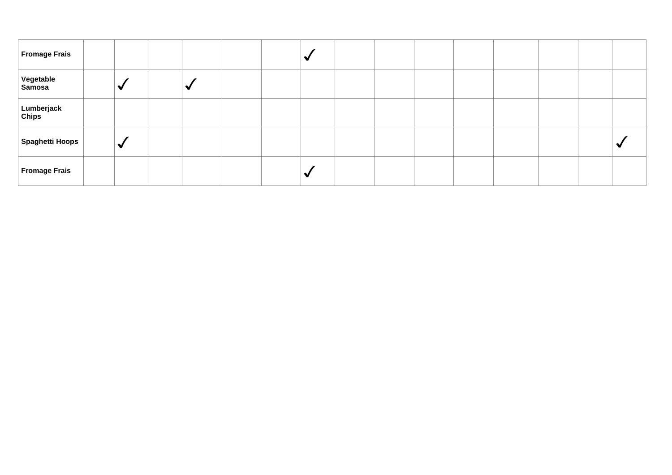| Fromage Frais       |   |  |  | ۰ |  |  |  |  |
|---------------------|---|--|--|---|--|--|--|--|
| Vegetable<br>Samosa | ₩ |  |  |   |  |  |  |  |
| Lumberjack<br>Chips |   |  |  |   |  |  |  |  |
| Spaghetti Hoops     | ✔ |  |  |   |  |  |  |  |
| Fromage Frais       |   |  |  |   |  |  |  |  |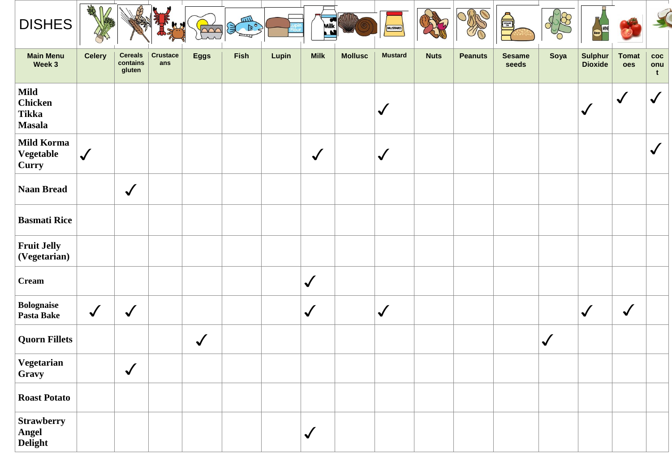| <b>DISHES</b>                                                  | <b>AMA</b>    |                                      |                        |              | $\mathbb{R}^{\bullet}$ |       | $\overline{\phantom{a}}$<br>Milk<br><u>l M</u> |                | MUSTARD        |             |                | A                      |              |                            |                     |                                   |
|----------------------------------------------------------------|---------------|--------------------------------------|------------------------|--------------|------------------------|-------|------------------------------------------------|----------------|----------------|-------------|----------------|------------------------|--------------|----------------------------|---------------------|-----------------------------------|
| <b>Main Menu</b><br>Week 3                                     | <b>Celery</b> | <b>Cereals</b><br>contains<br>gluten | <b>Crustace</b><br>ans | <b>Eggs</b>  | <b>Fish</b>            | Lupin | <b>Milk</b>                                    | <b>Mollusc</b> | <b>Mustard</b> | <b>Nuts</b> | <b>Peanuts</b> | <b>Sesame</b><br>seeds | Soya         | <b>Sulphur<br/>Dioxide</b> | <b>Tomat</b><br>oes | $\bf{coc}$<br>onu<br>$\mathbf{t}$ |
| <b>Mild</b><br><b>Chicken</b><br><b>Tikka</b><br><b>Masala</b> |               |                                      |                        |              |                        |       |                                                |                | $\checkmark$   |             |                |                        |              | $\checkmark$               | $\checkmark$        | $\checkmark$                      |
| <b>Mild Korma</b><br>Vegetable<br><b>Curry</b>                 | $\checkmark$  |                                      |                        |              |                        |       | $\checkmark$                                   |                | $\checkmark$   |             |                |                        |              |                            |                     | $\checkmark$                      |
| <b>Naan Bread</b>                                              |               | $\checkmark$                         |                        |              |                        |       |                                                |                |                |             |                |                        |              |                            |                     |                                   |
| <b>Basmati Rice</b>                                            |               |                                      |                        |              |                        |       |                                                |                |                |             |                |                        |              |                            |                     |                                   |
| <b>Fruit Jelly</b><br>(Vegetarian)                             |               |                                      |                        |              |                        |       |                                                |                |                |             |                |                        |              |                            |                     |                                   |
| <b>Cream</b>                                                   |               |                                      |                        |              |                        |       | $\checkmark$                                   |                |                |             |                |                        |              |                            |                     |                                   |
| <b>Bolognaise</b><br><b>Pasta Bake</b>                         | $\checkmark$  | $\checkmark$                         |                        |              |                        |       | $\checkmark$                                   |                | $\checkmark$   |             |                |                        |              | $\checkmark$               | $\checkmark$        |                                   |
| <b>Quorn Fillets</b>                                           |               |                                      |                        | $\checkmark$ |                        |       |                                                |                |                |             |                |                        | $\checkmark$ |                            |                     |                                   |
| Vegetarian<br>Gravy                                            |               | $\checkmark$                         |                        |              |                        |       |                                                |                |                |             |                |                        |              |                            |                     |                                   |
| <b>Roast Potato</b>                                            |               |                                      |                        |              |                        |       |                                                |                |                |             |                |                        |              |                            |                     |                                   |
| <b>Strawberry</b><br><b>Angel<br/>Delight</b>                  |               |                                      |                        |              |                        |       | $\checkmark$                                   |                |                |             |                |                        |              |                            |                     |                                   |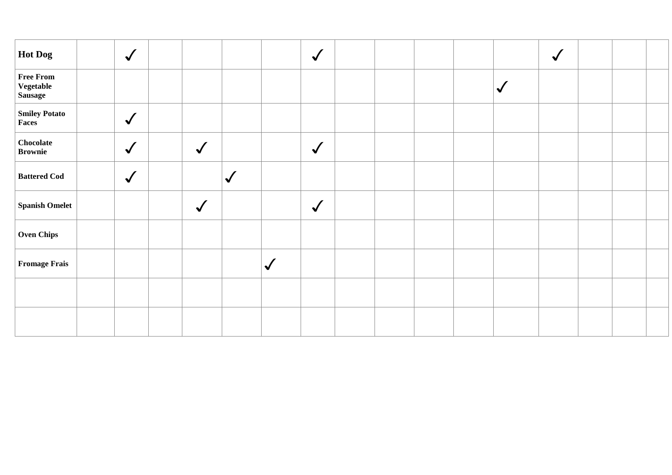| Hot Dog                                         | $\checkmark$ |              |              |              | $\checkmark$ |  |  |              | $\sqrt{2}$ |  |
|-------------------------------------------------|--------------|--------------|--------------|--------------|--------------|--|--|--------------|------------|--|
| <b>Free From</b><br>Vegetable<br><b>Sausage</b> |              |              |              |              |              |  |  | $\checkmark$ |            |  |
| <b>Smiley Potato</b><br>Faces                   | $\sqrt{2}$   |              |              |              |              |  |  |              |            |  |
| Chocolate<br><b>Brownie</b>                     | $\checkmark$ | $\checkmark$ |              |              | $\sqrt{ }$   |  |  |              |            |  |
| <b>Battered Cod</b>                             | $\checkmark$ |              | $\checkmark$ |              |              |  |  |              |            |  |
| <b>Spanish Omelet</b>                           |              | $\checkmark$ |              |              | $\checkmark$ |  |  |              |            |  |
| <b>Oven Chips</b>                               |              |              |              |              |              |  |  |              |            |  |
| <b>Fromage Frais</b>                            |              |              |              | $\checkmark$ |              |  |  |              |            |  |
|                                                 |              |              |              |              |              |  |  |              |            |  |
|                                                 |              |              |              |              |              |  |  |              |            |  |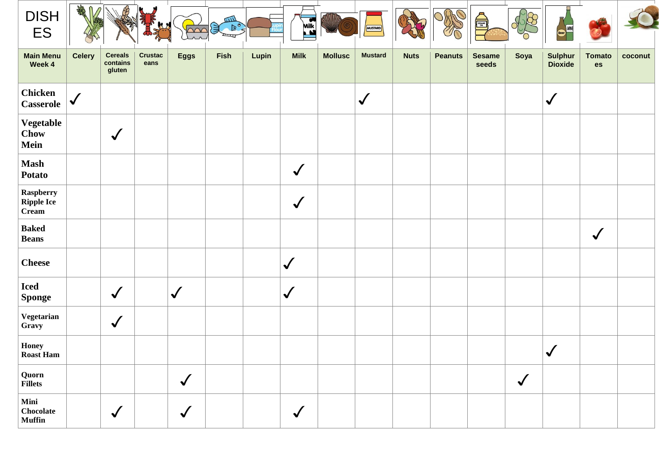| <b>DISH</b><br>ES                              | 一緒            |                                      |                        | $\triangle \triangle C$ | E ROS |       | Mik.         |                | MUSTARD        |             | DRC            | <b>Asset</b>           |              |                            |                     |         |
|------------------------------------------------|---------------|--------------------------------------|------------------------|-------------------------|-------|-------|--------------|----------------|----------------|-------------|----------------|------------------------|--------------|----------------------------|---------------------|---------|
| <b>Main Menu</b><br>Week 4                     | <b>Celery</b> | <b>Cereals</b><br>contains<br>gluten | <b>Crustac</b><br>eans | <b>Eggs</b>             | Fish  | Lupin | <b>Milk</b>  | <b>Mollusc</b> | <b>Mustard</b> | <b>Nuts</b> | <b>Peanuts</b> | <b>Sesame</b><br>seeds | Soya         | <b>Sulphur<br/>Dioxide</b> | <b>Tomato</b><br>es | coconut |
| <b>Chicken</b><br><b>Casserole</b>             | $\checkmark$  |                                      |                        |                         |       |       |              |                | $\checkmark$   |             |                |                        |              | $\checkmark$               |                     |         |
| Vegetable<br><b>Chow</b><br>Mein               |               | $\checkmark$                         |                        |                         |       |       |              |                |                |             |                |                        |              |                            |                     |         |
| <b>Mash</b><br><b>Potato</b>                   |               |                                      |                        |                         |       |       | $\checkmark$ |                |                |             |                |                        |              |                            |                     |         |
| Raspberry<br><b>Ripple Ice</b><br><b>Cream</b> |               |                                      |                        |                         |       |       | $\checkmark$ |                |                |             |                |                        |              |                            |                     |         |
| <b>Baked</b><br><b>Beans</b>                   |               |                                      |                        |                         |       |       |              |                |                |             |                |                        |              |                            | $\checkmark$        |         |
| <b>Cheese</b>                                  |               |                                      |                        |                         |       |       | $\checkmark$ |                |                |             |                |                        |              |                            |                     |         |
| <b>Iced</b><br><b>Sponge</b>                   |               | $\checkmark$                         |                        | $\checkmark$            |       |       | $\checkmark$ |                |                |             |                |                        |              |                            |                     |         |
| Vegetarian<br>Gravy                            |               | $\checkmark$                         |                        |                         |       |       |              |                |                |             |                |                        |              |                            |                     |         |
| <b>Honey</b><br><b>Roast Ham</b>               |               |                                      |                        |                         |       |       |              |                |                |             |                |                        |              | $\boldsymbol{\mathcal{N}}$ |                     |         |
| Quorn<br><b>Fillets</b>                        |               |                                      |                        | $\checkmark$            |       |       |              |                |                |             |                |                        | $\checkmark$ |                            |                     |         |
| Mini<br><b>Chocolate</b><br><b>Muffin</b>      |               | $\checkmark$                         |                        | $\checkmark$            |       |       | $\checkmark$ |                |                |             |                |                        |              |                            |                     |         |

**Contract Contract Contract**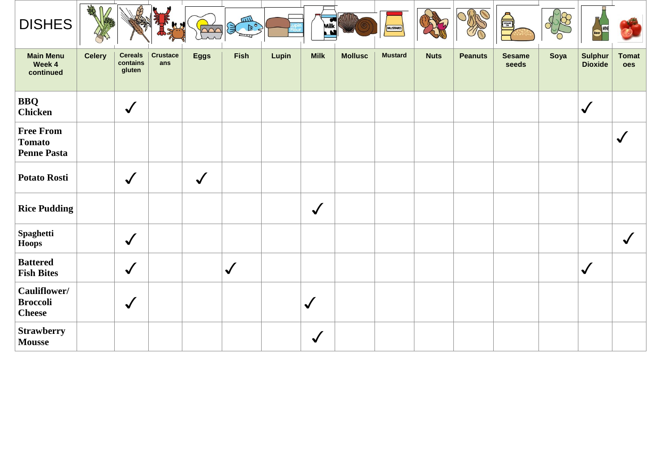| <b>DISHES</b>                                           | AR            |                                      |                        | $\infty$    | 皿<br>$\mathbb{R}$ $\mathbb{R}^{\circ}$ |       | Milk<br>$\mathbf{M}$ | $\sqrt{\mathbb{D}}$ | MUSTARD        |             |                | SESAME                 |      |                                  |                     |
|---------------------------------------------------------|---------------|--------------------------------------|------------------------|-------------|----------------------------------------|-------|----------------------|---------------------|----------------|-------------|----------------|------------------------|------|----------------------------------|---------------------|
| <b>Main Menu</b><br>Week 4<br>continued                 | <b>Celery</b> | <b>Cereals</b><br>contains<br>gluten | <b>Crustace</b><br>ans | <b>Eggs</b> | <b>Fish</b>                            | Lupin | <b>Milk</b>          | <b>Mollusc</b>      | <b>Mustard</b> | <b>Nuts</b> | <b>Peanuts</b> | <b>Sesame</b><br>seeds | Soya | <b>Sulphur</b><br><b>Dioxide</b> | <b>Tomat</b><br>oes |
| <b>BBQ</b><br><b>Chicken</b>                            |               | $\checkmark$                         |                        |             |                                        |       |                      |                     |                |             |                |                        |      | $\checkmark$                     |                     |
| <b>Free From</b><br><b>Tomato</b><br><b>Penne Pasta</b> |               |                                      |                        |             |                                        |       |                      |                     |                |             |                |                        |      |                                  | $\checkmark$        |
| <b>Potato Rosti</b>                                     |               | $\checkmark$                         |                        | $\sqrt{2}$  |                                        |       |                      |                     |                |             |                |                        |      |                                  |                     |
| <b>Rice Pudding</b>                                     |               |                                      |                        |             |                                        |       | $\checkmark$         |                     |                |             |                |                        |      |                                  |                     |
| Spaghetti<br><b>Hoops</b>                               |               | $\checkmark$                         |                        |             |                                        |       |                      |                     |                |             |                |                        |      |                                  | $\checkmark$        |
| <b>Battered</b><br><b>Fish Bites</b>                    |               | $\checkmark$                         |                        |             | $\boldsymbol{\mathcal{N}}$             |       |                      |                     |                |             |                |                        |      | $\sqrt{}$                        |                     |
| Cauliflower/<br><b>Broccoli</b><br><b>Cheese</b>        |               | $\checkmark$                         |                        |             |                                        |       | $\checkmark$         |                     |                |             |                |                        |      |                                  |                     |
| <b>Strawberry</b><br><b>Mousse</b>                      |               |                                      |                        |             |                                        |       | $\checkmark$         |                     |                |             |                |                        |      |                                  |                     |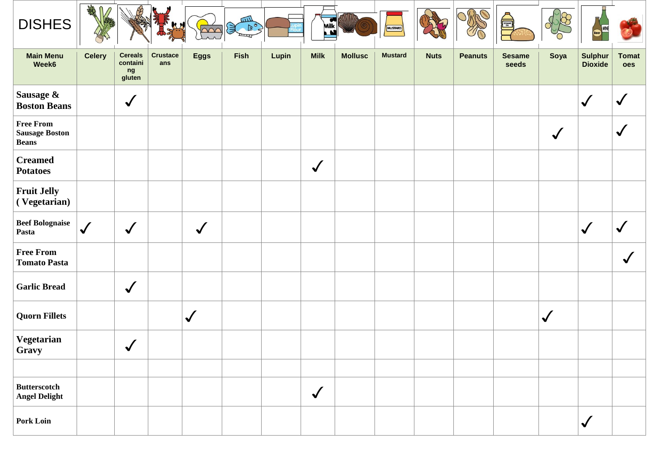| <b>DISHES</b>                                             | <b>THE</b>    |                                            |                        |             | шIJ<br>$\mathbb{R}^{\circ}$ |       | $\overline{\bullet}$<br>Milk |                | MUSTARD        |             |                | SESAME <sub>SE</sub>   |              |                                  |                     |
|-----------------------------------------------------------|---------------|--------------------------------------------|------------------------|-------------|-----------------------------|-------|------------------------------|----------------|----------------|-------------|----------------|------------------------|--------------|----------------------------------|---------------------|
| <b>Main Menu</b><br>Week6                                 | <b>Celery</b> | <b>Cereals</b><br>containi<br>ng<br>gluten | <b>Crustace</b><br>ans | <b>Eggs</b> | <b>Fish</b>                 | Lupin | <b>Milk</b>                  | <b>Mollusc</b> | <b>Mustard</b> | <b>Nuts</b> | <b>Peanuts</b> | <b>Sesame</b><br>seeds | Soya         | <b>Sulphur</b><br><b>Dioxide</b> | <b>Tomat</b><br>oes |
| Sausage &<br><b>Boston Beans</b>                          |               | $\checkmark$                               |                        |             |                             |       |                              |                |                |             |                |                        |              | $\checkmark$                     | $\checkmark$        |
| <b>Free From</b><br><b>Sausage Boston</b><br><b>Beans</b> |               |                                            |                        |             |                             |       |                              |                |                |             |                |                        | $\checkmark$ |                                  | $\checkmark$        |
| <b>Creamed</b><br><b>Potatoes</b>                         |               |                                            |                        |             |                             |       | $\checkmark$                 |                |                |             |                |                        |              |                                  |                     |
| <b>Fruit Jelly</b><br>(Vegetarian)                        |               |                                            |                        |             |                             |       |                              |                |                |             |                |                        |              |                                  |                     |
| <b>Beef Bolognaise</b><br>Pasta                           | $\checkmark$  | $\checkmark$                               |                        | $\sqrt{2}$  |                             |       |                              |                |                |             |                |                        |              | $\mathcal{L}$                    | $\checkmark$        |
| <b>Free From</b><br><b>Tomato Pasta</b>                   |               |                                            |                        |             |                             |       |                              |                |                |             |                |                        |              |                                  | $\checkmark$        |
| <b>Garlic Bread</b>                                       |               | $\checkmark$                               |                        |             |                             |       |                              |                |                |             |                |                        |              |                                  |                     |
| <b>Quorn Fillets</b>                                      |               |                                            |                        | $\sqrt{}$   |                             |       |                              |                |                |             |                |                        | $\checkmark$ |                                  |                     |
| Vegetarian<br>Gravy                                       |               | $\checkmark$                               |                        |             |                             |       |                              |                |                |             |                |                        |              |                                  |                     |
|                                                           |               |                                            |                        |             |                             |       |                              |                |                |             |                |                        |              |                                  |                     |
| <b>Butterscotch</b><br><b>Angel Delight</b>               |               |                                            |                        |             |                             |       | $\checkmark$                 |                |                |             |                |                        |              |                                  |                     |
| <b>Pork Loin</b>                                          |               |                                            |                        |             |                             |       |                              |                |                |             |                |                        |              | $\checkmark$                     |                     |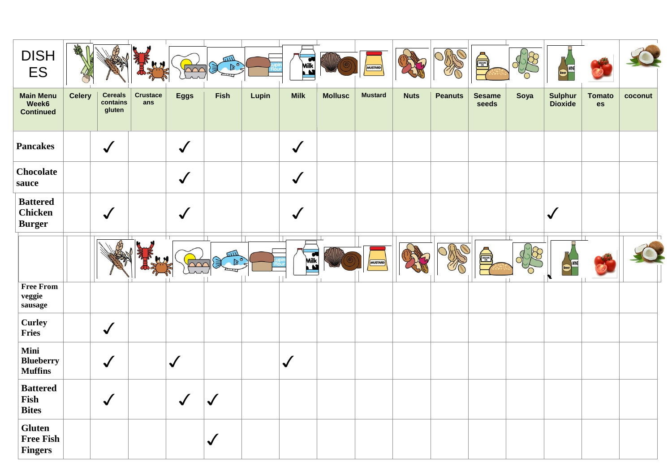| <b>DISH</b><br><b>ES</b>                           | AR            |                                      |                        |              | шI<br>$\mathbb{B}^{\mathsf{c}}$<br>目 |       | Milk                 |                | MUSTARD        |             |                | SESAME<br>DESA         |      | <b>WINE</b>                      |                     |         |
|----------------------------------------------------|---------------|--------------------------------------|------------------------|--------------|--------------------------------------|-------|----------------------|----------------|----------------|-------------|----------------|------------------------|------|----------------------------------|---------------------|---------|
| <b>Main Menu</b><br>Week6<br><b>Continued</b>      | <b>Celery</b> | <b>Cereals</b><br>contains<br>gluten | <b>Crustace</b><br>ans | <b>Eggs</b>  | <b>Fish</b>                          | Lupin | <b>Milk</b>          | <b>Mollusc</b> | <b>Mustard</b> | <b>Nuts</b> | <b>Peanuts</b> | <b>Sesame</b><br>seeds | Soya | <b>Sulphur</b><br><b>Dioxide</b> | <b>Tomato</b><br>es | coconut |
| <b>Pancakes</b>                                    |               | $\checkmark$                         |                        | $\checkmark$ |                                      |       | $\checkmark$         |                |                |             |                |                        |      |                                  |                     |         |
| Chocolate<br>sauce                                 |               |                                      |                        | $\checkmark$ |                                      |       | $\checkmark$         |                |                |             |                |                        |      |                                  |                     |         |
| <b>Battered</b><br><b>Chicken</b><br><b>Burger</b> |               | $\checkmark$                         |                        |              |                                      |       | $\checkmark$         |                |                |             |                |                        |      | $\mathcal{L}$                    |                     |         |
|                                                    |               |                                      |                        |              | $\overline{111}$                     |       | Milk<br>$\mathbf{r}$ |                | MUSTARD        |             |                | SESAMI                 |      |                                  | п.                  |         |
| <b>Free From</b><br>veggie<br>sausage              |               |                                      |                        |              |                                      |       |                      |                |                |             |                |                        |      |                                  |                     |         |
| <b>Curley</b><br>Fries                             |               | $\checkmark$                         |                        |              |                                      |       |                      |                |                |             |                |                        |      |                                  |                     |         |
| Mini<br><b>Blueberry</b><br><b>Muffins</b>         |               | $\checkmark$                         |                        | $\checkmark$ |                                      |       | $\checkmark$         |                |                |             |                |                        |      |                                  |                     |         |
| <b>Battered</b><br>Fish<br><b>Bites</b>            |               | $\checkmark$                         |                        | $\sqrt{2}$   | $\checkmark$                         |       |                      |                |                |             |                |                        |      |                                  |                     |         |
| Gluten<br><b>Free Fish</b><br><b>Fingers</b>       |               |                                      |                        |              | $\checkmark$                         |       |                      |                |                |             |                |                        |      |                                  |                     |         |